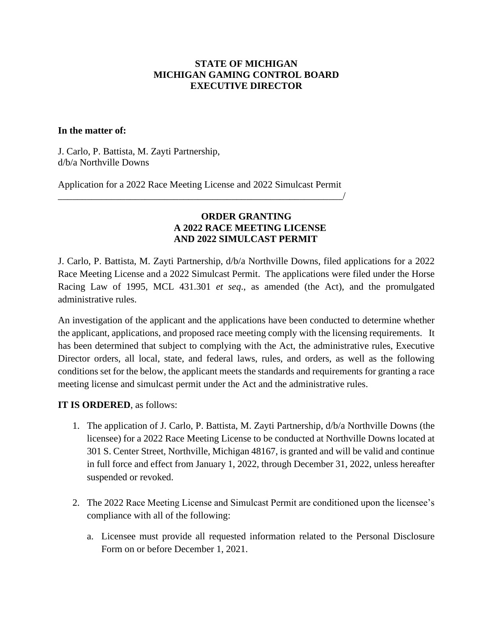## **STATE OF MICHIGAN MICHIGAN GAMING CONTROL BOARD EXECUTIVE DIRECTOR**

## **In the matter of:**

J. Carlo, P. Battista, M. Zayti Partnership, d/b/a Northville Downs

Application for a 2022 Race Meeting License and 2022 Simulcast Permit \_\_\_\_\_\_\_\_\_\_\_\_\_\_\_\_\_\_\_\_\_\_\_\_\_\_\_\_\_\_\_\_\_\_\_\_\_\_\_\_\_\_\_\_\_\_\_\_\_\_\_\_\_\_\_\_\_\_\_/

## **ORDER GRANTING A 2022 RACE MEETING LICENSE AND 2022 SIMULCAST PERMIT**

J. Carlo, P. Battista, M. Zayti Partnership, d/b/a Northville Downs, filed applications for a 2022 Race Meeting License and a 2022 Simulcast Permit. The applications were filed under the Horse Racing Law of 1995, MCL 431.301 *et seq*., as amended (the Act), and the promulgated administrative rules.

An investigation of the applicant and the applications have been conducted to determine whether the applicant, applications, and proposed race meeting comply with the licensing requirements. It has been determined that subject to complying with the Act, the administrative rules, Executive Director orders, all local, state, and federal laws, rules, and orders, as well as the following conditions set for the below, the applicant meets the standards and requirements for granting a race meeting license and simulcast permit under the Act and the administrative rules.

**IT IS ORDERED**, as follows:

- 1. The application of J. Carlo, P. Battista, M. Zayti Partnership, d/b/a Northville Downs (the licensee) for a 2022 Race Meeting License to be conducted at Northville Downs located at 301 S. Center Street, Northville, Michigan 48167, is granted and will be valid and continue in full force and effect from January 1, 2022, through December 31, 2022, unless hereafter suspended or revoked.
- 2. The 2022 Race Meeting License and Simulcast Permit are conditioned upon the licensee's compliance with all of the following:
	- a. Licensee must provide all requested information related to the Personal Disclosure Form on or before December 1, 2021.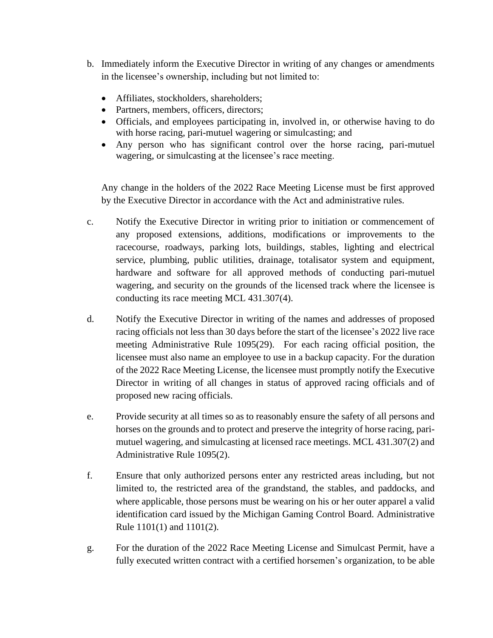- b. Immediately inform the Executive Director in writing of any changes or amendments in the licensee's ownership, including but not limited to:
	- Affiliates, stockholders, shareholders;
	- Partners, members, officers, directors;
	- Officials, and employees participating in, involved in, or otherwise having to do with horse racing, pari-mutuel wagering or simulcasting; and
	- Any person who has significant control over the horse racing, pari-mutuel wagering, or simulcasting at the licensee's race meeting.

Any change in the holders of the 2022 Race Meeting License must be first approved by the Executive Director in accordance with the Act and administrative rules.

- c. Notify the Executive Director in writing prior to initiation or commencement of any proposed extensions, additions, modifications or improvements to the racecourse, roadways, parking lots, buildings, stables, lighting and electrical service, plumbing, public utilities, drainage, totalisator system and equipment, hardware and software for all approved methods of conducting pari-mutuel wagering, and security on the grounds of the licensed track where the licensee is conducting its race meeting MCL 431.307(4).
- d. Notify the Executive Director in writing of the names and addresses of proposed racing officials not less than 30 days before the start of the licensee's 2022 live race meeting Administrative Rule 1095(29). For each racing official position, the licensee must also name an employee to use in a backup capacity. For the duration of the 2022 Race Meeting License, the licensee must promptly notify the Executive Director in writing of all changes in status of approved racing officials and of proposed new racing officials.
- e. Provide security at all times so as to reasonably ensure the safety of all persons and horses on the grounds and to protect and preserve the integrity of horse racing, parimutuel wagering, and simulcasting at licensed race meetings. MCL 431.307(2) and Administrative Rule 1095(2).
- f. Ensure that only authorized persons enter any restricted areas including, but not limited to, the restricted area of the grandstand, the stables, and paddocks, and where applicable, those persons must be wearing on his or her outer apparel a valid identification card issued by the Michigan Gaming Control Board. Administrative Rule 1101(1) and 1101(2).
- g. For the duration of the 2022 Race Meeting License and Simulcast Permit, have a fully executed written contract with a certified horsemen's organization, to be able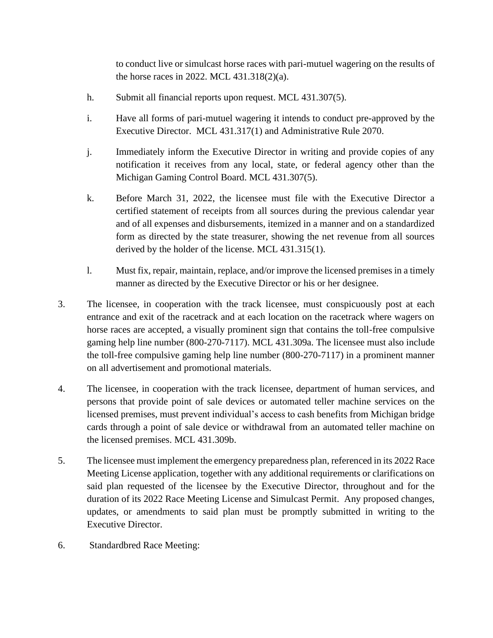to conduct live or simulcast horse races with pari-mutuel wagering on the results of the horse races in 2022. MCL 431.318(2)(a).

- h. Submit all financial reports upon request. MCL 431.307(5).
- i. Have all forms of pari-mutuel wagering it intends to conduct pre-approved by the Executive Director. MCL 431.317(1) and Administrative Rule 2070.
- j. Immediately inform the Executive Director in writing and provide copies of any notification it receives from any local, state, or federal agency other than the Michigan Gaming Control Board. MCL 431.307(5).
- k. Before March 31, 2022, the licensee must file with the Executive Director a certified statement of receipts from all sources during the previous calendar year and of all expenses and disbursements, itemized in a manner and on a standardized form as directed by the state treasurer, showing the net revenue from all sources derived by the holder of the license. MCL 431.315(1).
- l. Must fix, repair, maintain, replace, and/or improve the licensed premises in a timely manner as directed by the Executive Director or his or her designee.
- 3. The licensee, in cooperation with the track licensee, must conspicuously post at each entrance and exit of the racetrack and at each location on the racetrack where wagers on horse races are accepted, a visually prominent sign that contains the toll-free compulsive gaming help line number (800-270-7117). MCL 431.309a. The licensee must also include the toll-free compulsive gaming help line number (800-270-7117) in a prominent manner on all advertisement and promotional materials.
- 4. The licensee, in cooperation with the track licensee, department of human services, and persons that provide point of sale devices or automated teller machine services on the licensed premises, must prevent individual's access to cash benefits from Michigan bridge cards through a point of sale device or withdrawal from an automated teller machine on the licensed premises. MCL 431.309b.
- 5. The licensee must implement the emergency preparedness plan, referenced in its 2022 Race Meeting License application, together with any additional requirements or clarifications on said plan requested of the licensee by the Executive Director, throughout and for the duration of its 2022 Race Meeting License and Simulcast Permit. Any proposed changes, updates, or amendments to said plan must be promptly submitted in writing to the Executive Director.
- 6. Standardbred Race Meeting: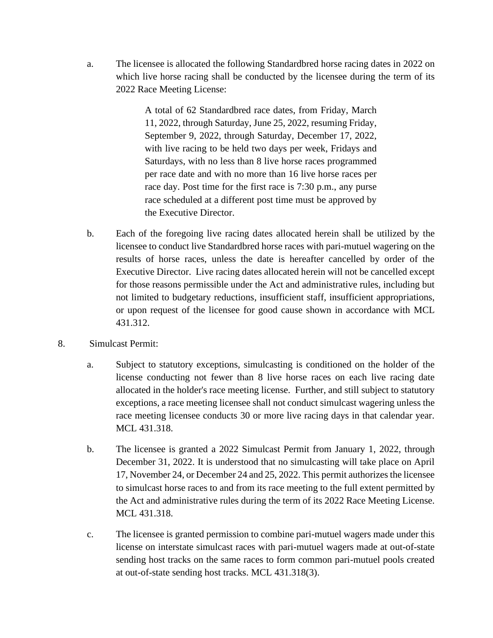a. The licensee is allocated the following Standardbred horse racing dates in 2022 on which live horse racing shall be conducted by the licensee during the term of its 2022 Race Meeting License:

> A total of 62 Standardbred race dates, from Friday, March 11, 2022, through Saturday, June 25, 2022, resuming Friday, September 9, 2022, through Saturday, December 17, 2022, with live racing to be held two days per week, Fridays and Saturdays, with no less than 8 live horse races programmed per race date and with no more than 16 live horse races per race day. Post time for the first race is 7:30 p.m., any purse race scheduled at a different post time must be approved by the Executive Director.

- b. Each of the foregoing live racing dates allocated herein shall be utilized by the licensee to conduct live Standardbred horse races with pari-mutuel wagering on the results of horse races, unless the date is hereafter cancelled by order of the Executive Director. Live racing dates allocated herein will not be cancelled except for those reasons permissible under the Act and administrative rules, including but not limited to budgetary reductions, insufficient staff, insufficient appropriations, or upon request of the licensee for good cause shown in accordance with MCL 431.312.
- 8. Simulcast Permit:
	- a. Subject to statutory exceptions, simulcasting is conditioned on the holder of the license conducting not fewer than 8 live horse races on each live racing date allocated in the holder's race meeting license. Further, and still subject to statutory exceptions, a race meeting licensee shall not conduct simulcast wagering unless the race meeting licensee conducts 30 or more live racing days in that calendar year. MCL 431.318.
	- b. The licensee is granted a 2022 Simulcast Permit from January 1, 2022, through December 31, 2022. It is understood that no simulcasting will take place on April 17, November 24, or December 24 and 25, 2022. This permit authorizes the licensee to simulcast horse races to and from its race meeting to the full extent permitted by the Act and administrative rules during the term of its 2022 Race Meeting License. MCL 431.318.
	- c. The licensee is granted permission to combine pari-mutuel wagers made under this license on interstate simulcast races with pari-mutuel wagers made at out-of-state sending host tracks on the same races to form common pari-mutuel pools created at out-of-state sending host tracks. MCL 431.318(3).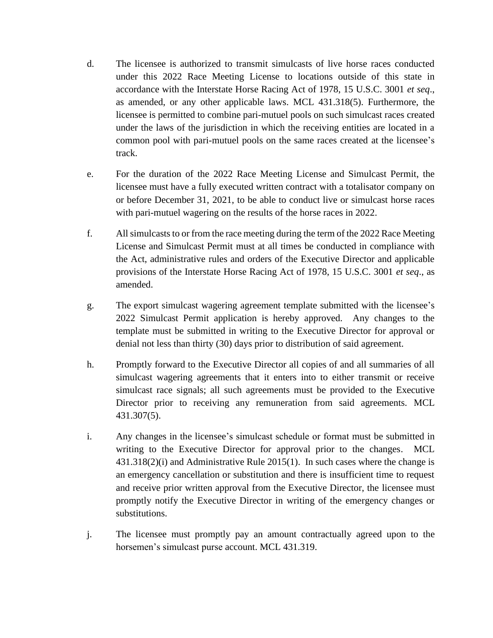- d. The licensee is authorized to transmit simulcasts of live horse races conducted under this 2022 Race Meeting License to locations outside of this state in accordance with the Interstate Horse Racing Act of 1978, 15 U.S.C. 3001 *et seq*., as amended, or any other applicable laws. MCL 431.318(5). Furthermore, the licensee is permitted to combine pari-mutuel pools on such simulcast races created under the laws of the jurisdiction in which the receiving entities are located in a common pool with pari-mutuel pools on the same races created at the licensee's track.
- e. For the duration of the 2022 Race Meeting License and Simulcast Permit, the licensee must have a fully executed written contract with a totalisator company on or before December 31, 2021, to be able to conduct live or simulcast horse races with pari-mutuel wagering on the results of the horse races in 2022.
- f. All simulcasts to or from the race meeting during the term of the 2022 Race Meeting License and Simulcast Permit must at all times be conducted in compliance with the Act, administrative rules and orders of the Executive Director and applicable provisions of the Interstate Horse Racing Act of 1978, 15 U.S.C. 3001 *et seq*., as amended.
- g. The export simulcast wagering agreement template submitted with the licensee's 2022 Simulcast Permit application is hereby approved. Any changes to the template must be submitted in writing to the Executive Director for approval or denial not less than thirty (30) days prior to distribution of said agreement.
- h. Promptly forward to the Executive Director all copies of and all summaries of all simulcast wagering agreements that it enters into to either transmit or receive simulcast race signals; all such agreements must be provided to the Executive Director prior to receiving any remuneration from said agreements. MCL 431.307(5).
- i. Any changes in the licensee's simulcast schedule or format must be submitted in writing to the Executive Director for approval prior to the changes. MCL 431.318(2)(i) and Administrative Rule 2015(1). In such cases where the change is an emergency cancellation or substitution and there is insufficient time to request and receive prior written approval from the Executive Director, the licensee must promptly notify the Executive Director in writing of the emergency changes or substitutions.
- j. The licensee must promptly pay an amount contractually agreed upon to the horsemen's simulcast purse account. MCL 431.319.